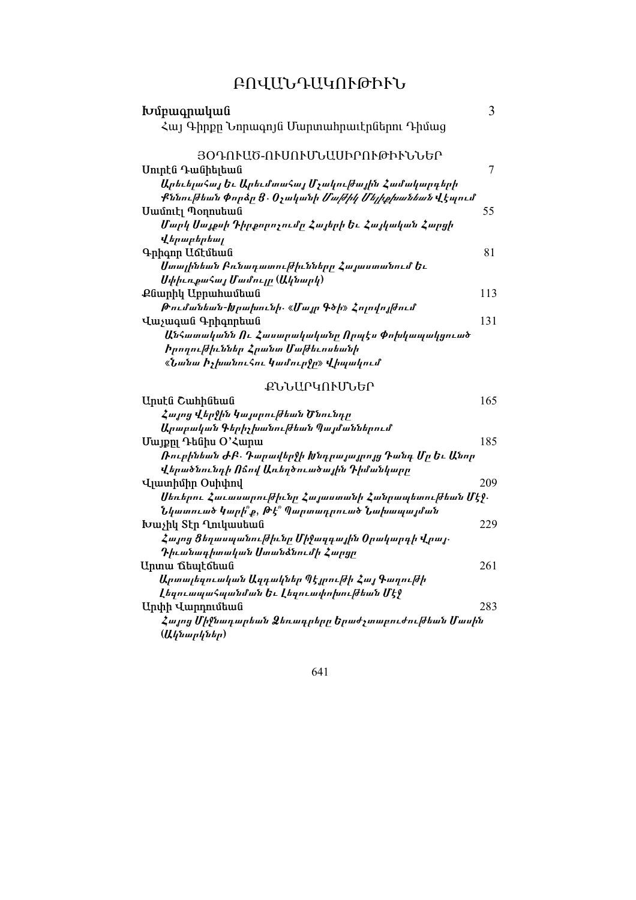# ԲՈՎԱՆԴԱԿՈՒԹՒՒՆ

| Խմբագրական                                                   | 3   |
|--------------------------------------------------------------|-----|
| Հայ Գիրքը Նորագոյն Մարտահրաւէրներու Դիմաց                    |     |
| ՅՕԴՈՒԱԾ-ՈՒՍՈՒՄՆԱՍԻՐՈՒԹՒՒՆՆԵՐ                                 |     |
| Սուրէն Դանիելեան                                             | 7   |
| Արեւելահայ Եւ Արեւմտահայ Մչակուխային Համակարգերի             |     |
| Քննու ժեան Փորձը Ց․ Օչականի <i>Մա ժիկ Մելիքիանեան</i> Վէպում |     |
| Uամուէլ Պօղոսեան                                             | 55  |
| Մարկ Սայքսի Դիրքորոչումը Հայերի Եւ Հայկական Հարցի            |     |
| <i>Վերաբերեալ</i>                                            |     |
| Գրիգոր Աճէմեան                                               | 81  |
| Ստալինեան Բռնադատու ժիւնները Հայաստանում Եւ                  |     |
| ՍփիւռքաՀայ Մամույր (Ակնարկ)                                  |     |
| Քնարիկ Աբրահամեան                                            | 113 |
| Թումանեան-Խրախունի <sub>՝</sub> «Մայր Գծի» Հոլովոյխում       |     |
| Վաչագան Գրիգորեան                                            | 131 |
| ԱնՀատականն Ու Հասարակականը Որպէս Փոխկապակցուած               |     |
| <i>Իրողու ժիւններ Հրանտ Մա ժեւոսեանի</i>                     |     |
| «Նանա իչխանուՀու կամուր <b>ջր» վ</b> իպակում                 |     |
| ՔՆՆԱՐԿՈՒՄՆԵՐ                                                 |     |
| Uputa Cwhhatwa                                               | 165 |
| Հայոց Վերջին կայսրութեան Ծնունդր                             |     |
| Արաբական Գերիչխանու ժեան Պայմաններում                        |     |
| Uwjpn ^ ^ Cupu                                               | 185 |
| Ռուբինեան ԺԲ․ Դարավերջի Խնդրայայրոյց Դանգ Մր Եւ Անոր         |     |
| վերածնունդի Ոճով Առեղծուածային Դիմանկարը                     |     |
| Վլատիմիր Օսիփով                                              | 209 |
| Սեռերու Հաւասարուխիւնը Հայաստանի Հանրապետուխեան Մէջ.         |     |
| Նկատուած կարի՞ք, Թէ՞ Պարտադրուած Նախապայման                  |     |

| Արսէս Շաորսեաս                                        | 10. |
|-------------------------------------------------------|-----|
| Հայոց Վերջին Կայսրուխեան Ծնունդր                      |     |
| Արաբական Գերիչխանու ժեան Պայմաններում                 |     |
| Մայքը Դենիս Օ'Հարա                                    | 185 |
| Ռուբինեան ԺԲ․ Դարավերջի Խնդրայայրոյց Դանգ Մը Եւ Անոր  |     |
| Վերածնունդի Ոճով Առեղծուածային Դիմանկարը              |     |
| Uuunhuhn Ouhuhnu                                      | 209 |
| Սեռերու Հաւասարութիւնը Հայաստանի Հանրապետութեան Մէջ.  |     |
| Նկատուած կարի՞ք, Թէ՞ Պարտադրուած Նախապայման           |     |
| $I$ <sub>t</sub> July Stp $I$ <sub>uly</sub> July 100 | 229 |
| Հայոց Ցեղասպանութիևնը Միջազգային Օրակարգի Վրայ․       |     |
| Դիւանագիտական Ստանձնումի Հարցը                        |     |
| Արտա ճեպէճեան                                         | 261 |
| Արտալեզուական Ազդակներ Պէյրուխի Հայ Գաղուխի           |     |
| Լեզուապահպանման Եւ Լեզուափոխու∣ժեան Մէ≬               |     |
| Արփի Վարդումեան                                       | 283 |
| Հայոց Միջնադարեան Ձեռադրերը Երաժչտաբուժու ժեան Մասին  |     |
| (Ակնարկներ)                                           |     |
|                                                       |     |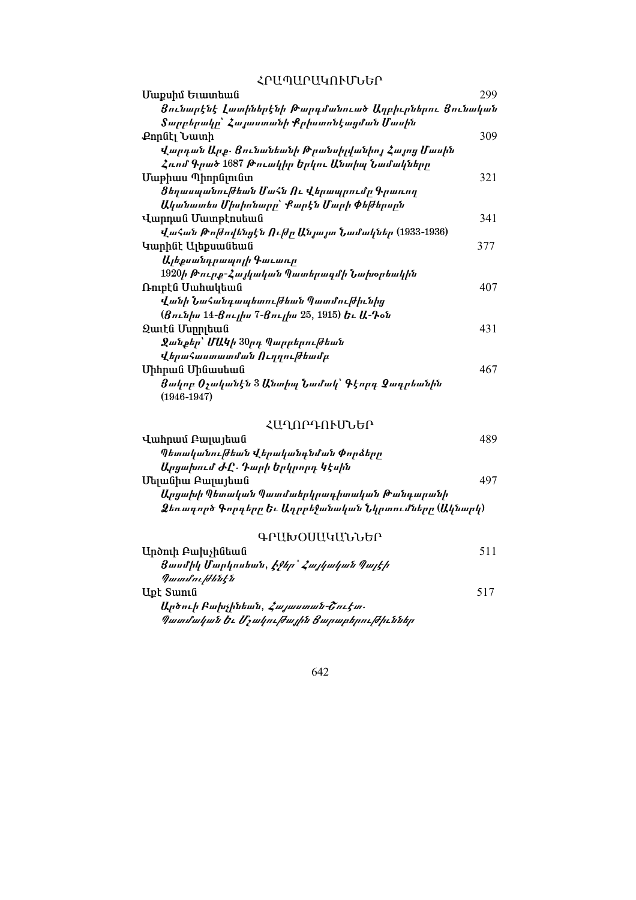ՀԲԱՊԱՐԱԿՈՒՄՆԵՐ

| Մաքսիմ Եւատեան                                                   | 299 |
|------------------------------------------------------------------|-----|
| Ցունարէնէ Լատիներէնի Թարգմանուած Աղբիւրներու Ցունական            |     |
| Տարբերակը՝ Հայաստանի Քրիստոնէացման Մասին                         |     |
| Քորնէլ Նատի                                                      | 309 |
| վարդան Արք. Ցունանեանի Թրանսիլվանիոյ Հայոց Մասին                 |     |
| Հռոմ Գրած 1687 Թուակիր Երկու Անտիպ Նամակները                     |     |
| Մաթիաս Պիորնլունտ                                                | 321 |
| Ցեղասպանուխեան ՄաՀն Ու Վերապրումը Գրառող                         |     |
| Ականատես Միսիոնարը՝ Քարէն Մարի Փեխերսըն                          |     |
| Վարդան Մատթէոսեան                                                | 341 |
| ՎաՀան Թոխովենցէն Ուխր Անյայտ Նամակներ (1933-1936)                |     |
| Կարինէ Ալեքսանեան                                                | 377 |
| Ալեքսանդրապոլի Գաւառը                                            |     |
| 1920ի Թուրք-Հայկական Պատերագմի Նախօրեակին                        |     |
| Ռուբէն Սահակեան                                                  | 407 |
| Վանի ՆաՀանդապետու ժեան Պատմու ժիւնից                             |     |
| (Ցունիս 14-Ցուլիս 7-Ցուլիս 25, 1915) Եւ Ա-Դօն                    |     |
| Զաւէն Մսրրլեան                                                   | 431 |
| Ջանքեր՝ ՄԱԿի 30րդ Պարբերու ժեան                                  |     |
| վերաՀաստատման Ուղղուխեամբ                                        |     |
| Միհրան Մինասեան                                                  | 467 |
| Ցակոբ Օչականէն 3 Անտիպ Նամակ՝ Գէորդ Ձադրեանին<br>$(1946 - 1947)$ |     |

# ՀԱՂՈԽԺՍԻՂՐԻ

| Վահրամ Բայայեան                                       |     |
|-------------------------------------------------------|-----|
| Պետականուխեան վերականգնման Փորձերը                    |     |
| Արցախում ԺԸ․ Դարի Երկրորդ կէսին                       |     |
| Մելանիա Բայայեան                                      | 497 |
| Արցախի Պետական Պատմաերկրագիտական Թանգարանի            |     |
| Ձեռագործ Գորգերը Եւ Ադրբեջանական Նկրտումները (Ակնարկ) |     |

# ԳԵՐՄԻՕՐՈՐՈՐԻ

| Արծուի Բախչինեան                              | 511 |
|-----------------------------------------------|-----|
| Ցասմիկ Մարկոսեան, <i>Էջեր՝ Հայկական Պայէի</i> |     |
| Պատմութենէն                                   |     |
| Upt Swnıն                                     | 517 |
| Արծուի Բախչինեան, <i>Հայաստան-Շուէտ</i>       |     |
| Պատմական Եւ Մչակուխային Ցարաբերուխիւններ      |     |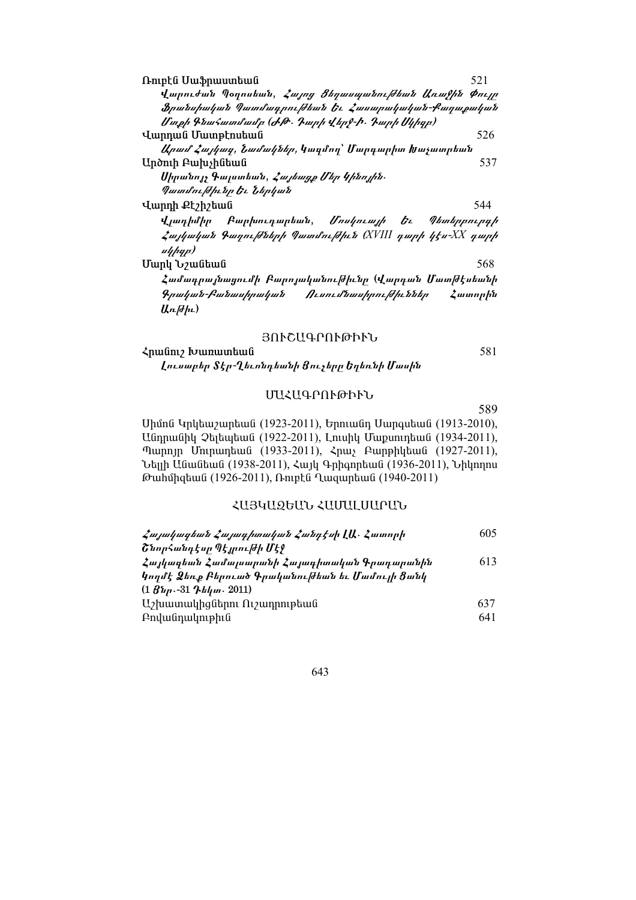| Ռուբէն Սաֆրաստեան                                                        | 521     |
|--------------------------------------------------------------------------|---------|
| Վարուժան Պօղոսեան, <i>Հայոց Ցեղասպանուխեան Առաչին Փույր</i>              |         |
| Ֆրանսիական Պատմագրուխեան Եւ Հասարակական-Քաղաքական                        |         |
| Մտքի Գնահատմամբ (ԺԹ․ Դարի Վերջ-Ի․ Դարի Սկիգբ)                            |         |
| Վարդան Մատթէոսեան                                                        | 526     |
| <i>Արամ Հայկազ, Նամակներ,</i> Կազմող` Մարգարիտ Խաչատրեան                 |         |
| Արծուի Բախչինեան                                                         | 537     |
| Սիրանոյչ Գալստեան, <i>Հայեադք Մեր Կինոյին</i> ․                          |         |
| Պատմուխիւնը Եւ Ներկան                                                    |         |
| Վարդի Քէշիշեան                                                           | 544     |
| վ <i>լադիմիր Բարխուդարեան, Մոսկուայի Եւ</i><br><i><b>¶ետերբուրդի</b></i> |         |
| <i>Հայկական Գաղութնների Պատմութիւն (XVIII դարի կէս-XX դարի</i><br>սկիզբ) |         |
| Մարկ Եշանեան                                                             | 568     |
| Համագրայնացումի Բարոյականուխիւնը (Վարդան Մատխէսեանի                      |         |
| Գրական-Բանասիրական Ուսումնասիրուխիւններ                                  | Հատորին |
| Առ <i>թիւ</i> )                                                          |         |

## ՅՈՒՇԱԳՐՈՒԹԻՒՆ

Հրանուշ Խառատեան Լուսաբեր Տէր-Ղեւոնդեանի Ցուչերը Եղեռնի Մասին

# ՄԱՀԱԳՐՈՒԹՒՒՆ

589

581

Սիմոն Կրկեաշարեան (1923-2011), Երուանդ Սարգսեան (1913-2010), Անդրանիկ Չելեպեան (1922-2011), Լուսիկ Մաքսուդեան (1934-2011), Պարոյր Մուրադեան (1933-2011), Հրաչ Բարթիկեան (1927-2011), Նելլի Անանեան (1938-2011), Հայկ Գրիգորեան (1936-2011), Նիկողոս Թահմիզեան (1926-2011), Ռուբէն Ղազարեան (1940-2011)

# ՀԱՅԿԱԶԵԱՆ ՀԱՄԱԼՍԱՐԱՆ

| Հայակազեան Հայագիտական Հանդէսի ԼԱ․ Հատորի             | 605. |
|-------------------------------------------------------|------|
| Շնորհանդէսը Պէյրուխի Մէջ                              |      |
| Հայկագեան Համալսարանի Հայագիտական Գրադարանին          | 613  |
| կողմէ Ձեռք Բերուած Գրականուխեան եւ Մամույի Ցանկ       |      |
| $(1 \mathcal{B}_{\mu} - 31 \mathcal{B}_{\mu} - 2011)$ |      |
| $U_2$ խատակիցներու Ու $\gamma$ ադրութեան              | 637  |
| <b>Andwanutuphia</b>                                  | 641  |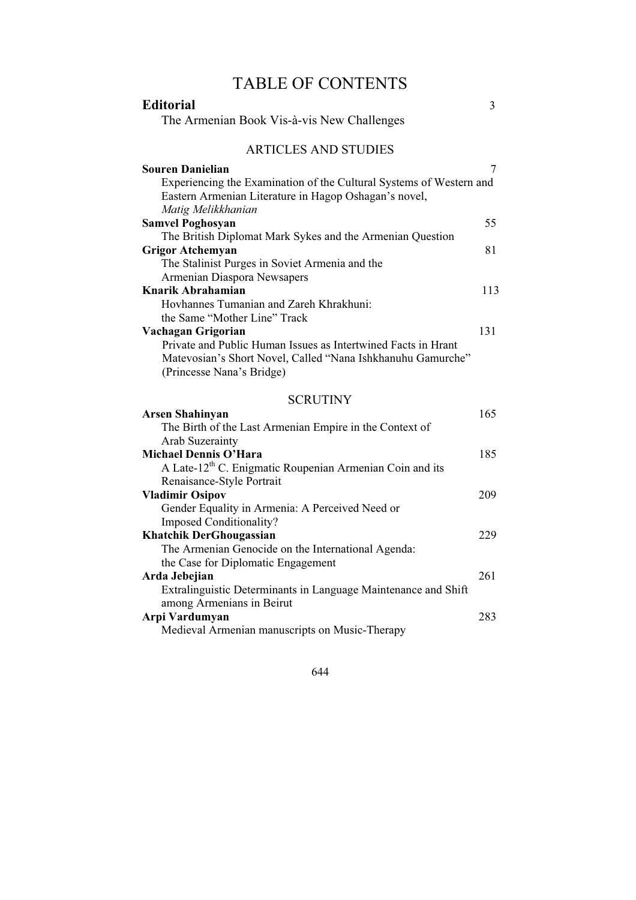# TABLE OF CONTENTS

| <b>Editorial</b>                                                                                                                                          | 3   |
|-----------------------------------------------------------------------------------------------------------------------------------------------------------|-----|
| The Armenian Book Vis-à-vis New Challenges                                                                                                                |     |
|                                                                                                                                                           |     |
| <b>ARTICLES AND STUDIES</b>                                                                                                                               |     |
| <b>Souren Danielian</b>                                                                                                                                   | 7   |
| Experiencing the Examination of the Cultural Systems of Western and<br>Eastern Armenian Literature in Hagop Oshagan's novel,<br>Matig Melikkhanian        |     |
| <b>Samvel Poghosyan</b>                                                                                                                                   | 55  |
| The British Diplomat Mark Sykes and the Armenian Question                                                                                                 |     |
| <b>Grigor Atchemyan</b>                                                                                                                                   | 81  |
| The Stalinist Purges in Soviet Armenia and the                                                                                                            |     |
| Armenian Diaspora Newsapers                                                                                                                               |     |
| Knarik Abrahamian                                                                                                                                         | 113 |
| Hovhannes Tumanian and Zareh Khrakhuni:                                                                                                                   |     |
| the Same "Mother Line" Track                                                                                                                              |     |
| Vachagan Grigorian                                                                                                                                        | 131 |
| Private and Public Human Issues as Intertwined Facts in Hrant<br>Matevosian's Short Novel, Called "Nana Ishkhanuhu Gamurche"<br>(Princesse Nana's Bridge) |     |
| <b>SCRUTINY</b>                                                                                                                                           |     |
| <b>Arsen Shahinyan</b>                                                                                                                                    | 165 |
| The Birth of the Last Armenian Empire in the Context of                                                                                                   |     |
| Arab Suzerainty                                                                                                                                           |     |
| <b>Michael Dennis O'Hara</b>                                                                                                                              | 185 |
| A Late-12 <sup>th</sup> C. Enigmatic Roupenian Armenian Coin and its                                                                                      |     |
| Renaisance-Style Portrait                                                                                                                                 |     |
| <b>Vladimir Osipov</b>                                                                                                                                    | 209 |
| Gender Equality in Armenia: A Perceived Need or                                                                                                           |     |
| <b>Imposed Conditionality?</b>                                                                                                                            |     |
| <b>Khatchik DerGhougassian</b>                                                                                                                            | 229 |
| The Armenian Genocide on the International Agenda:                                                                                                        |     |
| the Case for Diplomatic Engagement                                                                                                                        |     |
| Arda Jebejian                                                                                                                                             | 261 |
| Extralinguistic Determinants in Language Maintenance and Shift<br>among Armenians in Beirut                                                               |     |

Arpi Vardumyan 283 Medieval Armenian manuscripts on Music-Therapy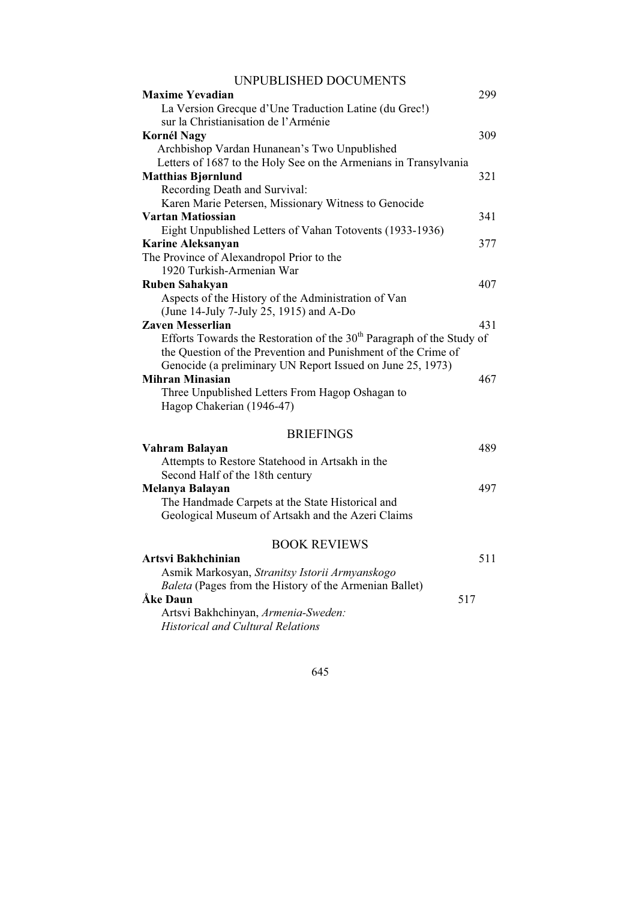| <b>Maxime Yevadian</b>                                                  | 299 |
|-------------------------------------------------------------------------|-----|
| La Version Grecque d'Une Traduction Latine (du Grec!)                   |     |
| sur la Christianisation de l'Arménie                                    |     |
| <b>Kornél Nagy</b>                                                      | 309 |
| Archbishop Vardan Hunanean's Two Unpublished                            |     |
| Letters of 1687 to the Holy See on the Armenians in Transylvania        |     |
| <b>Matthias Bjørnlund</b>                                               | 321 |
| Recording Death and Survival:                                           |     |
| Karen Marie Petersen, Missionary Witness to Genocide                    |     |
| Vartan Matiossian                                                       | 341 |
| Eight Unpublished Letters of Vahan Totovents (1933-1936)                |     |
| <b>Karine Aleksanyan</b>                                                | 377 |
| The Province of Alexandropol Prior to the                               |     |
| 1920 Turkish-Armenian War                                               |     |
| <b>Ruben Sahakyan</b>                                                   | 407 |
| Aspects of the History of the Administration of Van                     |     |
| (June 14-July 7-July 25, 1915) and A-Do                                 |     |
| <b>Zaven Messerlian</b>                                                 | 431 |
| Efforts Towards the Restoration of the $30th$ Paragraph of the Study of |     |
| the Question of the Prevention and Punishment of the Crime of           |     |
| Genocide (a preliminary UN Report Issued on June 25, 1973)              |     |
| <b>Mihran Minasian</b>                                                  | 467 |
| Three Unpublished Letters From Hagop Oshagan to                         |     |
| Hagop Chakerian (1946-47)                                               |     |
|                                                                         |     |
| <b>BRIEFINGS</b>                                                        |     |
| Vahram Balayan                                                          | 489 |
| Attempts to Restore Statehood in Artsakh in the                         |     |
| Second Half of the 18th century                                         |     |
| Melanya Balayan                                                         | 497 |
| The Handmade Carpets at the State Historical and                        |     |
| Geological Museum of Artsakh and the Azeri Claims                       |     |
|                                                                         |     |
| <b>BOOK REVIEWS</b>                                                     |     |
| Artsvi Bakhchinian                                                      | 511 |
| Asmik Markosyan, Stranitsy Istorii Armyanskogo                          |     |
| Baleta (Pages from the History of the Armenian Ballet)                  |     |
| Åke Daun<br>517                                                         |     |
| Artsvi Bakhchinyan, Armenia-Sweden:                                     |     |
| <b>Historical and Cultural Relations</b>                                |     |
|                                                                         |     |